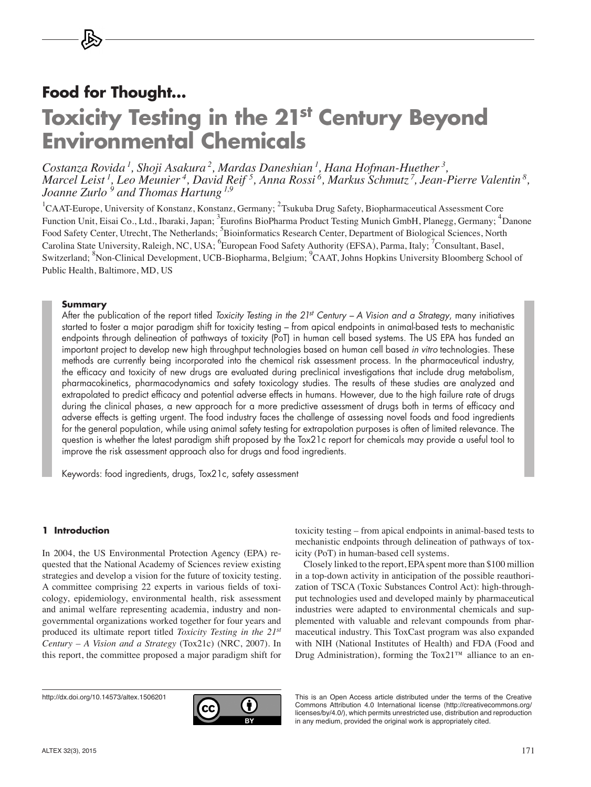# **Food for Thought…**

# **Toxicity Testing in the 21st Century Beyond Environmental Chemicals**

*Costanza Rovida 1, Shoji Asakura 2, Mardas Daneshian 1, Hana Hofman-Huether 3, Marcel Leist 1, Leo Meunier 4, David Reif 5, Anna Rossi 6, Markus Schmutz 7, Jean-Pierre Valentin 8, Joanne Zurlo 9 and Thomas Hartung 1,9*

<sup>1</sup>CAAT-Europe, University of Konstanz, Konstanz, Germany; <sup>2</sup>Tsukuba Drug Safety, Biopharmaceutical Assessment Core Function Unit, Eisai Co., Ltd., Ibaraki, Japan; <sup>3</sup>Eurofins BioPharma Product Testing Munich GmbH, Planegg, Germany; <sup>4</sup>Danone Food Safety Center, Utrecht, The Netherlands; <sup>5</sup>Bioinformatics Research Center, Department of Biological Sciences, North Carolina State University, Raleigh, NC, USA; <sup>6</sup>European Food Safety Authority (EFSA), Parma, Italy; <sup>7</sup>Consultant, Basel, Switzerland; <sup>8</sup>Non-Clinical Development, UCB-Biopharma, Belgium; <sup>9</sup>CAAT, Johns Hopkins University Bloomberg School of Public Health, Baltimore, MD, US

#### **Summary**

After the publication of the report titled *Toxicity Testing in the 21st Century – A Vision and a Strategy*, many initiatives started to foster a major paradigm shift for toxicity testing – from apical endpoints in animal-based tests to mechanistic endpoints through delineation of pathways of toxicity (PoT) in human cell based systems. The US EPA has funded an important project to develop new high throughput technologies based on human cell based *in vitro* technologies. These methods are currently being incorporated into the chemical risk assessment process. In the pharmaceutical industry, the efficacy and toxicity of new drugs are evaluated during preclinical investigations that include drug metabolism, pharmacokinetics, pharmacodynamics and safety toxicology studies. The results of these studies are analyzed and extrapolated to predict efficacy and potential adverse effects in humans. However, due to the high failure rate of drugs during the clinical phases, a new approach for a more predictive assessment of drugs both in terms of efficacy and adverse effects is getting urgent. The food industry faces the challenge of assessing novel foods and food ingredients for the general population, while using animal safety testing for extrapolation purposes is often of limited relevance. The question is whether the latest paradigm shift proposed by the Tox21c report for chemicals may provide a useful tool to improve the risk assessment approach also for drugs and food ingredients.

Keywords: food ingredients, drugs, Tox21c, safety assessment

#### **1 Introduction**

In 2004, the US Environmental Protection Agency (EPA) requested that the National Academy of Sciences review existing strategies and develop a vision for the future of toxicity testing. A committee comprising 22 experts in various fields of toxicology, epidemiology, environmental health, risk assessment and animal welfare representing academia, industry and nongovernmental organizations worked together for four years and produced its ultimate report titled *Toxicity Testing in the 21st Century – A Vision and a Strategy* (Tox21c) (NRC, 2007). In this report, the committee proposed a major paradigm shift for

<http://dx.doi.org/10.14573/altex.1506201>



toxicity testing – from apical endpoints in animal-based tests to mechanistic endpoints through delineation of pathways of toxicity (PoT) in human-based cell systems.

Closely linked to the report, EPA spent more than \$100 million in a top-down activity in anticipation of the possible reauthorization of TSCA (Toxic Substances Control Act): high-throughput technologies used and developed mainly by pharmaceutical industries were adapted to environmental chemicals and supplemented with valuable and relevant compounds from pharmaceutical industry. This ToxCast program was also expanded with NIH (National Institutes of Health) and FDA (Food and Drug Administration), forming the Tox21™ alliance to an en-

This is an Open Access article distributed under the terms of the Creative Commons Attribution 4.0 International license ([http://creativecommons.org/](http://creativecommons.org/licenses/by/4.0/) [licenses/by/4.0/\), wh](http://creativecommons.org/licenses/by/4.0/)ich permits unrestricted use, distribution and reproduction in any medium, provided the original work is appropriately cited.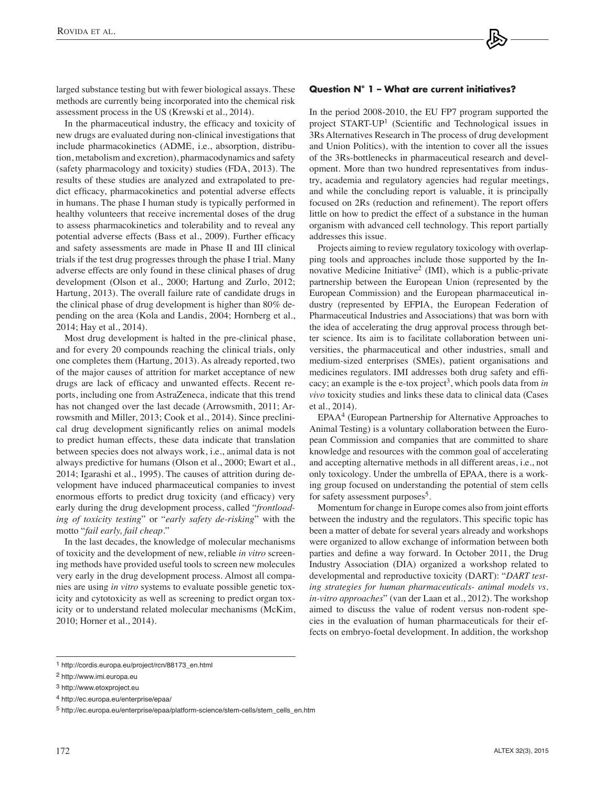larged substance testing but with fewer biological assays. These methods are currently being incorporated into the chemical risk assessment process in the US (Krewski et al., 2014).

In the pharmaceutical industry, the efficacy and toxicity of new drugs are evaluated during non-clinical investigations that include pharmacokinetics (ADME, i.e., absorption, distribution, metabolism and excretion), pharmacodynamics and safety (safety pharmacology and toxicity) studies (FDA, 2013). The results of these studies are analyzed and extrapolated to predict efficacy, pharmacokinetics and potential adverse effects in humans. The phase I human study is typically performed in healthy volunteers that receive incremental doses of the drug to assess pharmacokinetics and tolerability and to reveal any potential adverse effects (Bass et al., 2009). Further efficacy and safety assessments are made in Phase II and III clinical trials if the test drug progresses through the phase I trial. Many adverse effects are only found in these clinical phases of drug development (Olson et al., 2000; Hartung and Zurlo, 2012; Hartung, 2013). The overall failure rate of candidate drugs in the clinical phase of drug development is higher than 80% depending on the area (Kola and Landis, 2004; Hornberg et al., 2014; Hay et al., 2014).

Most drug development is halted in the pre-clinical phase, and for every 20 compounds reaching the clinical trials, only one completes them (Hartung, 2013). As already reported, two of the major causes of attrition for market acceptance of new drugs are lack of efficacy and unwanted effects. Recent reports, including one from AstraZeneca, indicate that this trend has not changed over the last decade (Arrowsmith, 2011; Arrowsmith and Miller, 2013; Cook et al., 2014). Since preclinical drug development significantly relies on animal models to predict human effects, these data indicate that translation between species does not always work, i.e., animal data is not always predictive for humans (Olson et al., 2000; Ewart et al., 2014; Igarashi et al., 1995). The causes of attrition during development have induced pharmaceutical companies to invest enormous efforts to predict drug toxicity (and efficacy) very early during the drug development process, called "*frontloading of toxicity testing*" or "*early safety de-risking*" with the motto "*fail early, fail cheap*."

In the last decades, the knowledge of molecular mechanisms of toxicity and the development of new, reliable *in vitro* screening methods have provided useful tools to screen new molecules very early in the drug development process. Almost all companies are using *in vitro* systems to evaluate possible genetic toxicity and cytotoxicity as well as screening to predict organ toxicity or to understand related molecular mechanisms (McKim, 2010; Horner et al., 2014).

#### **Question N° 1 – What are current initiatives?**

In the period 2008-2010, the EU FP7 program supported the project START-UP1 (Scientific and Technological issues in 3Rs Alternatives Research in The process of drug development and Union Politics), with the intention to cover all the issues of the 3Rs-bottlenecks in pharmaceutical research and development. More than two hundred representatives from industry, academia and regulatory agencies had regular meetings, and while the concluding report is valuable, it is principally focused on 2Rs (reduction and refinement). The report offers little on how to predict the effect of a substance in the human organism with advanced cell technology. This report partially addresses this issue.

Projects aiming to review regulatory toxicology with overlapping tools and approaches include those supported by the Innovative Medicine Initiative<sup>2</sup> (IMI), which is a public-private partnership between the European Union (represented by the European Commission) and the European pharmaceutical industry (represented by EFPIA, the European Federation of Pharmaceutical Industries and Associations) that was born with the idea of accelerating the drug approval process through better science. Its aim is to facilitate collaboration between universities, the pharmaceutical and other industries, small and medium-sized enterprises (SMEs), patient organisations and medicines regulators. IMI addresses both drug safety and efficacy; an example is the e-tox project<sup>3</sup>, which pools data from *in vivo* toxicity studies and links these data to clinical data (Cases et al., 2014).

EPAA4 (European Partnership for Alternative Approaches to Animal Testing) is a voluntary collaboration between the European Commission and companies that are committed to share knowledge and resources with the common goal of accelerating and accepting alternative methods in all different areas, i.e., not only toxicology. Under the umbrella of EPAA, there is a working group focused on understanding the potential of stem cells for safety assessment purposes<sup>5</sup>.

Momentum for change in Europe comes also from joint efforts between the industry and the regulators. This specific topic has been a matter of debate for several years already and workshops were organized to allow exchange of information between both parties and define a way forward. In October 2011, the Drug Industry Association (DIA) organized a workshop related to developmental and reproductive toxicity (DART): "*DART testing strategies for human pharmaceuticals- animal models vs. in-vitro approaches*" (van der Laan et al., 2012). The workshop aimed to discuss the value of rodent versus non-rodent species in the evaluation of human pharmaceuticals for their effects on embryo-foetal development. In addition, the workshop

<sup>1</sup> [http://cordis.europa.eu/project/rcn/88173\\_en.html](http://cordis.europa.eu/project/rcn/88173_en.html)

<sup>2</sup> <http://www.imi.europa.eu>

<sup>3</sup> <http://www.etoxproject.eu>

<sup>4</sup> <http://ec.europa.eu/enterprise/epaa/>

<sup>5</sup> [http://ec.europa.eu/enterprise/epaa/platform-science/stem-cells/stem\\_cells\\_en.htm](http://ec.europa.eu/enterprise/epaa/platform-science/stem-cells/stem_cells_en.htm)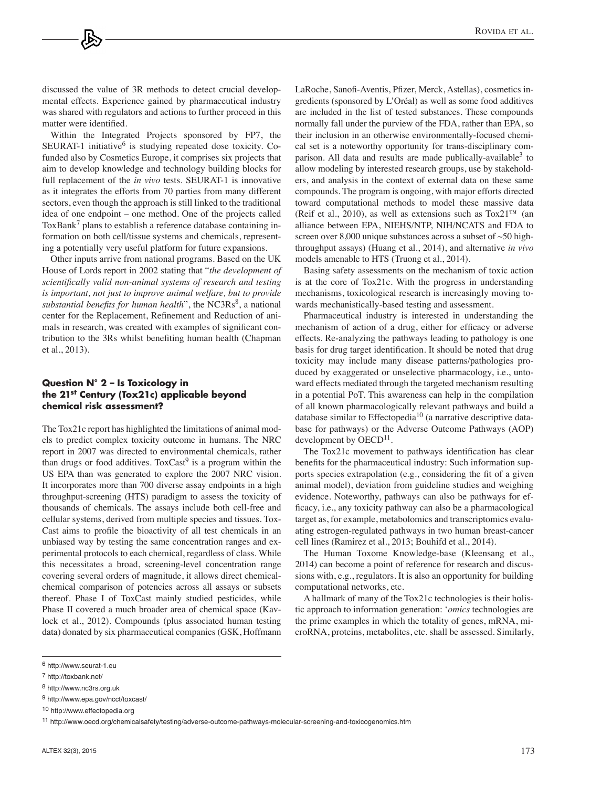discussed the value of 3R methods to detect crucial developmental effects. Experience gained by pharmaceutical industry was shared with regulators and actions to further proceed in this matter were identified.

Within the Integrated Projects sponsored by FP7, the SEURAT-1 initiative $<sup>6</sup>$  is studying repeated dose toxicity. Co-</sup> funded also by Cosmetics Europe, it comprises six projects that aim to develop knowledge and technology building blocks for full replacement of the *in vivo* tests. SEURAT-1 is innovative as it integrates the efforts from 70 parties from many different sectors, even though the approach is still linked to the traditional idea of one endpoint – one method. One of the projects called ToxBank<sup>7</sup> plans to establish a reference database containing information on both cell/tissue systems and chemicals, representing a potentially very useful platform for future expansions.

Other inputs arrive from national programs. Based on the UK House of Lords report in 2002 stating that "*the development of scientifically valid non-animal systems of research and testing is important, not just to improve animal welfare, but to provide substantial benefits for human health*", the NC3Rs<sup>8</sup>, a national center for the Replacement, Refinement and Reduction of animals in research, was created with examples of significant contribution to the 3Rs whilst benefiting human health (Chapman et al., 2013).

#### **Question N° 2 – Is Toxicology in the 21st Century (Tox21c) applicable beyond chemical risk assessment?**

The Tox21c report has highlighted the limitations of animal models to predict complex toxicity outcome in humans. The NRC report in 2007 was directed to environmental chemicals, rather than drugs or food additives. ToxCast<sup>9</sup> is a program within the US EPA than was generated to explore the 2007 NRC vision. It incorporates more than 700 diverse assay endpoints in a high throughput-screening (HTS) paradigm to assess the toxicity of thousands of chemicals. The assays include both cell-free and cellular systems, derived from multiple species and tissues. Tox-Cast aims to profile the bioactivity of all test chemicals in an unbiased way by testing the same concentration ranges and experimental protocols to each chemical, regardless of class. While this necessitates a broad, screening-level concentration range covering several orders of magnitude, it allows direct chemicalchemical comparison of potencies across all assays or subsets thereof. Phase I of ToxCast mainly studied pesticides, while Phase II covered a much broader area of chemical space (Kavlock et al., 2012). Compounds (plus associated human testing data) donated by six pharmaceutical companies (GSK, Hoffmann LaRoche, Sanofi-Aventis, Pfizer, Merck, Astellas), cosmetics ingredients (sponsored by L'Oréal) as well as some food additives are included in the list of tested substances. These compounds normally fall under the purview of the FDA, rather than EPA, so their inclusion in an otherwise environmentally-focused chemical set is a noteworthy opportunity for trans-disciplinary comparison. All data and results are made publically-available<sup>3</sup> to allow modeling by interested research groups, use by stakeholders, and analysis in the context of external data on these same compounds. The program is ongoing, with major efforts directed toward computational methods to model these massive data (Reif et al., 2010), as well as extensions such as  $Tox21<sup>TM</sup>$  (an alliance between EPA, NIEHS/NTP, NIH/NCATS and FDA to screen over 8,000 unique substances across a subset of ~50 highthroughput assays) (Huang et al., 2014), and alternative *in vivo* models amenable to HTS (Truong et al., 2014).

Basing safety assessments on the mechanism of toxic action is at the core of Tox21c. With the progress in understanding mechanisms, toxicological research is increasingly moving towards mechanistically-based testing and assessment.

Pharmaceutical industry is interested in understanding the mechanism of action of a drug, either for efficacy or adverse effects. Re-analyzing the pathways leading to pathology is one basis for drug target identification. It should be noted that drug toxicity may include many disease patterns/pathologies produced by exaggerated or unselective pharmacology, i.e., untoward effects mediated through the targeted mechanism resulting in a potential PoT. This awareness can help in the compilation of all known pharmacologically relevant pathways and build a database similar to Effectopedia<sup>10</sup> (a narrative descriptive database for pathways) or the Adverse Outcome Pathways (AOP) development by  $OECD<sup>11</sup>$ .

The Tox21c movement to pathways identification has clear benefits for the pharmaceutical industry: Such information supports species extrapolation (e.g., considering the fit of a given animal model), deviation from guideline studies and weighing evidence. Noteworthy, pathways can also be pathways for efficacy, i.e., any toxicity pathway can also be a pharmacological target as, for example, metabolomics and transcriptomics evaluating estrogen-regulated pathways in two human breast-cancer cell lines (Ramirez et al., 2013; Bouhifd et al., 2014).

The Human Toxome Knowledge-base (Kleensang et al., 2014) can become a point of reference for research and discussions with, e.g., regulators. It is also an opportunity for building computational networks, etc.

A hallmark of many of the Tox21c technologies is their holistic approach to information generation: '*omics* technologies are the prime examples in which the totality of genes, mRNA, microRNA, proteins, metabolites, etc. shall be assessed. Similarly,

<sup>6</sup> <http://www.seurat-1.eu>

<sup>7</sup> <http://toxbank.net/>

<sup>8</sup> <http://www.nc3rs.org.uk>

<sup>9</sup> <http://www.epa.gov/ncct/toxcast/>

<sup>10</sup><http://www.effectopedia.org>

<sup>11</sup> <http://www.oecd.org/chemicalsafety/testing/adverse-outcome-pathways-molecular-screening-and-toxicogenomics.htm>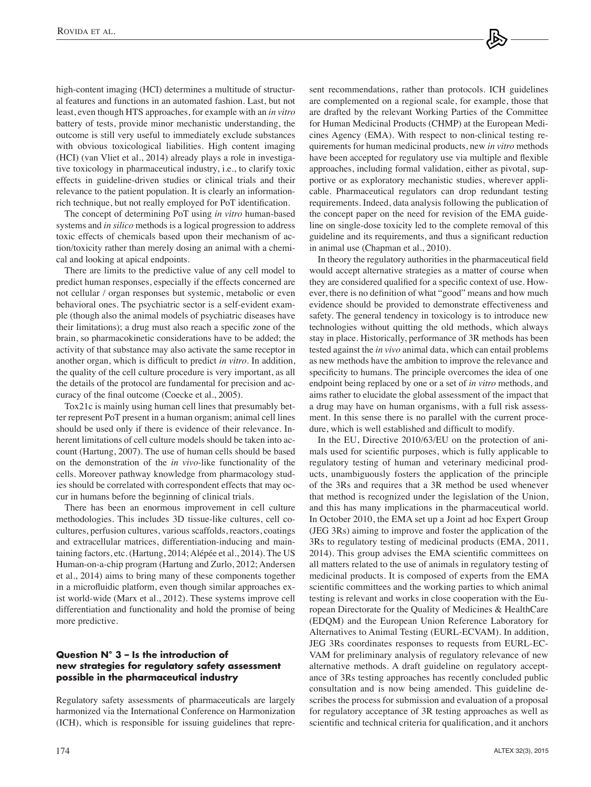high-content imaging (HCI) determines a multitude of structural features and functions in an automated fashion. Last, but not least, even though HTS approaches, for example with an *in vitro* battery of tests, provide minor mechanistic understanding, the outcome is still very useful to immediately exclude substances with obvious toxicological liabilities. High content imaging (HCI) (van Vliet et al., 2014) already plays a role in investigative toxicology in pharmaceutical industry, i.e., to clarify toxic effects in guideline-driven studies or clinical trials and their relevance to the patient population. It is clearly an informationrich technique, but not really employed for PoT identification.

The concept of determining PoT using *in vitro* human-based systems and *in silico* methods is a logical progression to address toxic effects of chemicals based upon their mechanism of action/toxicity rather than merely dosing an animal with a chemical and looking at apical endpoints.

There are limits to the predictive value of any cell model to predict human responses, especially if the effects concerned are not cellular / organ responses but systemic, metabolic or even behavioral ones. The psychiatric sector is a self-evident example (though also the animal models of psychiatric diseases have their limitations); a drug must also reach a specific zone of the brain, so pharmacokinetic considerations have to be added; the activity of that substance may also activate the same receptor in another organ, which is difficult to predict *in vitro*. In addition, the quality of the cell culture procedure is very important, as all the details of the protocol are fundamental for precision and accuracy of the final outcome (Coecke et al., 2005).

Tox21c is mainly using human cell lines that presumably better represent PoT present in a human organism; animal cell lines should be used only if there is evidence of their relevance. Inherent limitations of cell culture models should be taken into account (Hartung, 2007). The use of human cells should be based on the demonstration of the *in vivo*-like functionality of the cells. Moreover pathway knowledge from pharmacology studies should be correlated with correspondent effects that may occur in humans before the beginning of clinical trials.

There has been an enormous improvement in cell culture methodologies. This includes 3D tissue-like cultures, cell cocultures, perfusion cultures, various scaffolds, reactors, coatings and extracellular matrices, differentiation-inducing and maintaining factors, etc. (Hartung, 2014; Alépée et al., 2014). The US Human-on-a-chip program (Hartung and Zurlo, 2012; Andersen et al., 2014) aims to bring many of these components together in a microfluidic platform, even though similar approaches exist world-wide (Marx et al., 2012). These systems improve cell differentiation and functionality and hold the promise of being more predictive.

## **Question N° 3 – Is the introduction of new strategies for regulatory safety assessment possible in the pharmaceutical industry**

Regulatory safety assessments of pharmaceuticals are largely harmonized via the International Conference on Harmonization (ICH), which is responsible for issuing guidelines that represent recommendations, rather than protocols. ICH guidelines are complemented on a regional scale, for example, those that are drafted by the relevant Working Parties of the Committee for Human Medicinal Products (CHMP) at the European Medicines Agency (EMA). With respect to non-clinical testing requirements for human medicinal products, new *in vitro* methods have been accepted for regulatory use via multiple and flexible approaches, including formal validation, either as pivotal, supportive or as exploratory mechanistic studies, wherever applicable. Pharmaceutical regulators can drop redundant testing requirements. Indeed, data analysis following the publication of the concept paper on the need for revision of the EMA guideline on single-dose toxicity led to the complete removal of this guideline and its requirements, and thus a significant reduction in animal use (Chapman et al., 2010).

In theory the regulatory authorities in the pharmaceutical field would accept alternative strategies as a matter of course when they are considered qualified for a specific context of use. However, there is no definition of what "good" means and how much evidence should be provided to demonstrate effectiveness and safety. The general tendency in toxicology is to introduce new technologies without quitting the old methods, which always stay in place. Historically, performance of 3R methods has been tested against the *in vivo* animal data, which can entail problems as new methods have the ambition to improve the relevance and specificity to humans. The principle overcomes the idea of one endpoint being replaced by one or a set of *in vitro* methods, and aims rather to elucidate the global assessment of the impact that a drug may have on human organisms, with a full risk assessment. In this sense there is no parallel with the current procedure, which is well established and difficult to modify.

In the EU, Directive 2010/63/EU on the protection of animals used for scientific purposes, which is fully applicable to regulatory testing of human and veterinary medicinal products, unambiguously fosters the application of the principle of the 3Rs and requires that a 3R method be used whenever that method is recognized under the legislation of the Union, and this has many implications in the pharmaceutical world. In October 2010, the EMA set up a Joint ad hoc Expert Group (JEG 3Rs) aiming to improve and foster the application of the 3Rs to regulatory testing of medicinal products (EMA, 2011, 2014). This group advises the EMA scientific committees on all matters related to the use of animals in regulatory testing of medicinal products. It is composed of experts from the EMA scientific committees and the working parties to which animal testing is relevant and works in close cooperation with the European Directorate for the Quality of Medicines & HealthCare (EDQM) and the European Union Reference Laboratory for Alternatives to Animal Testing (EURL-ECVAM). In addition, JEG 3Rs coordinates responses to requests from EURL-EC-VAM for preliminary analysis of regulatory relevance of new alternative methods. A draft guideline on regulatory acceptance of 3Rs testing approaches has recently concluded public consultation and is now being amended. This guideline describes the process for submission and evaluation of a proposal for regulatory acceptance of 3R testing approaches as well as scientific and technical criteria for qualification, and it anchors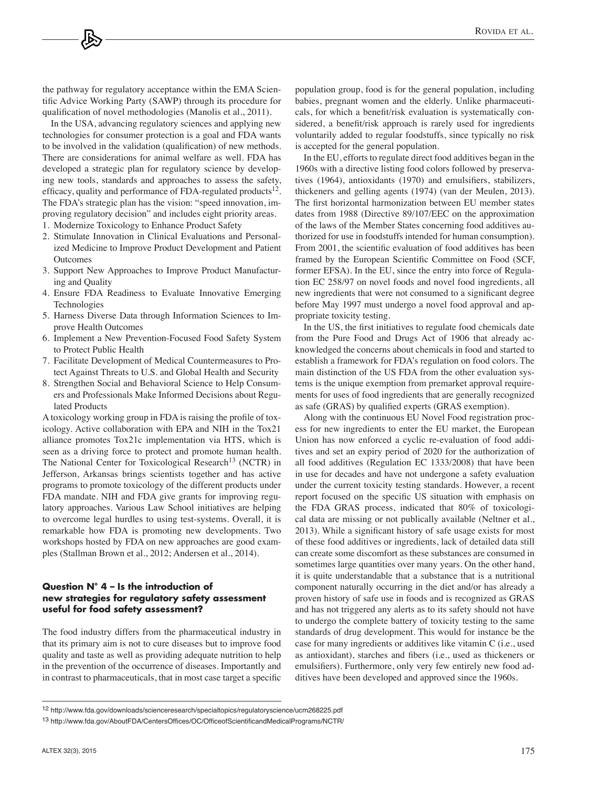the pathway for regulatory acceptance within the EMA Scientific Advice Working Party (SAWP) through its procedure for qualification of novel methodologies (Manolis et al., 2011).

In the USA, advancing regulatory sciences and applying new technologies for consumer protection is a goal and FDA wants to be involved in the validation (qualification) of new methods. There are considerations for animal welfare as well. FDA has developed a strategic plan for regulatory science by developing new tools, standards and approaches to assess the safety, efficacy, quality and performance of FDA-regulated products<sup>12</sup>. The FDA's strategic plan has the vision: "speed innovation, improving regulatory decision" and includes eight priority areas.

- 1. Modernize Toxicology to Enhance Product Safety
- 2. Stimulate Innovation in Clinical Evaluations and Personalized Medicine to Improve Product Development and Patient **Outcomes**
- 3. Support New Approaches to Improve Product Manufacturing and Quality
- 4. Ensure FDA Readiness to Evaluate Innovative Emerging Technologies
- 5. Harness Diverse Data through Information Sciences to Improve Health Outcomes
- 6. Implement a New Prevention-Focused Food Safety System to Protect Public Health
- 7. Facilitate Development of Medical Countermeasures to Protect Against Threats to U.S. and Global Health and Security
- 8. Strengthen Social and Behavioral Science to Help Consumers and Professionals Make Informed Decisions about Regulated Products

A toxicology working group in FDA is raising the profile of toxicology. Active collaboration with EPA and NIH in the Tox21 alliance promotes Tox21c implementation via HTS, which is seen as a driving force to protect and promote human health. The National Center for Toxicological Research<sup>13</sup> (NCTR) in Jefferson, Arkansas brings scientists together and has active programs to promote toxicology of the different products under FDA mandate. NIH and FDA give grants for improving regulatory approaches. Various Law School initiatives are helping to overcome legal hurdles to using test-systems. Overall, it is remarkable how FDA is promoting new developments. Two workshops hosted by FDA on new approaches are good examples (Stallman Brown et al., 2012; Andersen et al., 2014).

### **Question N° 4 – Is the introduction of new strategies for regulatory safety assessment useful for food safety assessment?**

The food industry differs from the pharmaceutical industry in that its primary aim is not to cure diseases but to improve food quality and taste as well as providing adequate nutrition to help in the prevention of the occurrence of diseases. Importantly and in contrast to pharmaceuticals, that in most case target a specific population group, food is for the general population, including babies, pregnant women and the elderly. Unlike pharmaceuticals, for which a benefit/risk evaluation is systematically considered, a benefit/risk approach is rarely used for ingredients voluntarily added to regular foodstuffs, since typically no risk is accepted for the general population.

In the EU, efforts to regulate direct food additives began in the 1960s with a directive listing food colors followed by preservatives (1964), antioxidants (1970) and emulsifiers, stabilizers, thickeners and gelling agents (1974) (van der Meulen, 2013). The first horizontal harmonization between EU member states dates from 1988 (Directive 89/107/EEC on the approximation of the laws of the Member States concerning food additives authorized for use in foodstuffs intended for human consumption). From 2001, the scientific evaluation of food additives has been framed by the European Scientific Committee on Food (SCF, former EFSA). In the EU, since the entry into force of Regulation EC 258/97 on novel foods and novel food ingredients, all new ingredients that were not consumed to a significant degree before May 1997 must undergo a novel food approval and appropriate toxicity testing.

In the US, the first initiatives to regulate food chemicals date from the Pure Food and Drugs Act of 1906 that already acknowledged the concerns about chemicals in food and started to establish a framework for FDA's regulation on food colors. The main distinction of the US FDA from the other evaluation systems is the unique exemption from premarket approval requirements for uses of food ingredients that are generally recognized as safe (GRAS) by qualified experts (GRAS exemption).

Along with the continuous EU Novel Food registration process for new ingredients to enter the EU market, the European Union has now enforced a cyclic re-evaluation of food additives and set an expiry period of 2020 for the authorization of all food additives (Regulation EC 1333/2008) that have been in use for decades and have not undergone a safety evaluation under the current toxicity testing standards. However, a recent report focused on the specific US situation with emphasis on the FDA GRAS process, indicated that 80% of toxicological data are missing or not publically available (Neltner et al., 2013). While a significant history of safe usage exists for most of these food additives or ingredients, lack of detailed data still can create some discomfort as these substances are consumed in sometimes large quantities over many years. On the other hand, it is quite understandable that a substance that is a nutritional component naturally occurring in the diet and/or has already a proven history of safe use in foods and is recognized as GRAS and has not triggered any alerts as to its safety should not have to undergo the complete battery of toxicity testing to the same standards of drug development. This would for instance be the case for many ingredients or additives like vitamin C (i.e., used as antioxidant), starches and fibers (i.e., used as thickeners or emulsifiers). Furthermore, only very few entirely new food additives have been developed and approved since the 1960s.

<sup>12</sup><http://www.fda.gov/downloads/scienceresearch/specialtopics/regulatoryscience/ucm268225.pdf>

<sup>13</sup><http://www.fda.gov/AboutFDA/CentersOffices/OC/OfficeofScientificandMedicalPrograms/NCTR/>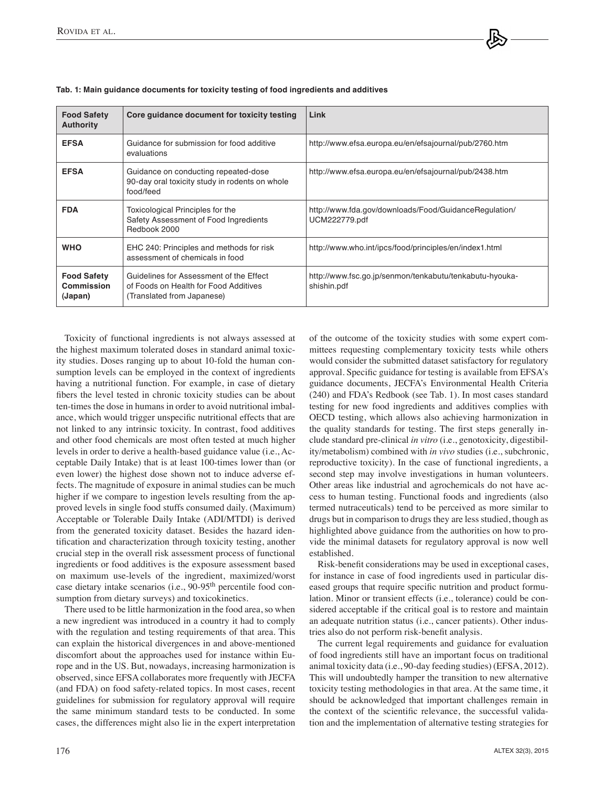| <b>Food Safety</b><br><b>Authority</b>      | Core quidance document for toxicity testing                                                                    | Link                                                                   |  |
|---------------------------------------------|----------------------------------------------------------------------------------------------------------------|------------------------------------------------------------------------|--|
| <b>EFSA</b>                                 | Guidance for submission for food additive<br>evaluations                                                       | http://www.efsa.europa.eu/en/efsajournal/pub/2760.htm                  |  |
| <b>EFSA</b>                                 | Guidance on conducting repeated-dose<br>90-day oral toxicity study in rodents on whole<br>food/feed            | http://www.efsa.europa.eu/en/efsajournal/pub/2438.htm                  |  |
| <b>FDA</b>                                  | Toxicological Principles for the<br>Safety Assessment of Food Ingredients<br>Redbook 2000                      | http://www.fda.gov/downloads/Food/GuidanceRegulation/<br>UCM222779.pdf |  |
| <b>WHO</b>                                  | EHC 240: Principles and methods for risk<br>assessment of chemicals in food                                    | http://www.who.int/ipcs/food/principles/en/index1.html                 |  |
| <b>Food Safety</b><br>Commission<br>(Japan) | Guidelines for Assessment of the Effect<br>of Foods on Health for Food Additives<br>(Translated from Japanese) | http://www.fsc.go.jp/senmon/tenkabutu/tenkabutu-hyouka-<br>shishin.pdf |  |

| Tab. 1: Main guidance documents for toxicity testing of food ingredients and additives |  |  |
|----------------------------------------------------------------------------------------|--|--|
|----------------------------------------------------------------------------------------|--|--|

Toxicity of functional ingredients is not always assessed at the highest maximum tolerated doses in standard animal toxicity studies. Doses ranging up to about 10-fold the human consumption levels can be employed in the context of ingredients having a nutritional function. For example, in case of dietary fibers the level tested in chronic toxicity studies can be about ten-times the dose in humans in order to avoid nutritional imbalance, which would trigger unspecific nutritional effects that are not linked to any intrinsic toxicity. In contrast, food additives and other food chemicals are most often tested at much higher levels in order to derive a health-based guidance value (i.e., Acceptable Daily Intake) that is at least 100-times lower than (or even lower) the highest dose shown not to induce adverse effects. The magnitude of exposure in animal studies can be much higher if we compare to ingestion levels resulting from the approved levels in single food stuffs consumed daily. (Maximum) Acceptable or Tolerable Daily Intake (ADI/MTDI) is derived from the generated toxicity dataset. Besides the hazard identification and characterization through toxicity testing, another crucial step in the overall risk assessment process of functional ingredients or food additives is the exposure assessment based on maximum use-levels of the ingredient, maximized/worst case dietary intake scenarios (i.e., 90-95th percentile food consumption from dietary surveys) and toxicokinetics.

There used to be little harmonization in the food area, so when a new ingredient was introduced in a country it had to comply with the regulation and testing requirements of that area. This can explain the historical divergences in and above-mentioned discomfort about the approaches used for instance within Europe and in the US. But, nowadays, increasing harmonization is observed, since EFSA collaborates more frequently with JECFA (and FDA) on food safety-related topics. In most cases, recent guidelines for submission for regulatory approval will require the same minimum standard tests to be conducted. In some cases, the differences might also lie in the expert interpretation of the outcome of the toxicity studies with some expert committees requesting complementary toxicity tests while others would consider the submitted dataset satisfactory for regulatory approval. Specific guidance for testing is available from EFSA's guidance documents, JECFA's Environmental Health Criteria (240) and FDA's Redbook (see Tab. 1). In most cases standard testing for new food ingredients and additives complies with OECD testing, which allows also achieving harmonization in the quality standards for testing. The first steps generally include standard pre-clinical *in vitro* (i.e., genotoxicity, digestibility/metabolism) combined with *in vivo* studies (i.e., subchronic, reproductive toxicity). In the case of functional ingredients, a second step may involve investigations in human volunteers. Other areas like industrial and agrochemicals do not have access to human testing. Functional foods and ingredients (also termed nutraceuticals) tend to be perceived as more similar to drugs but in comparison to drugs they are less studied, though as highlighted above guidance from the authorities on how to provide the minimal datasets for regulatory approval is now well established.

Risk-benefit considerations may be used in exceptional cases, for instance in case of food ingredients used in particular diseased groups that require specific nutrition and product formulation. Minor or transient effects (i.e., tolerance) could be considered acceptable if the critical goal is to restore and maintain an adequate nutrition status (i.e., cancer patients). Other industries also do not perform risk-benefit analysis.

The current legal requirements and guidance for evaluation of food ingredients still have an important focus on traditional animal toxicity data (i.e., 90-day feeding studies) (EFSA, 2012). This will undoubtedly hamper the transition to new alternative toxicity testing methodologies in that area. At the same time, it should be acknowledged that important challenges remain in the context of the scientific relevance, the successful validation and the implementation of alternative testing strategies for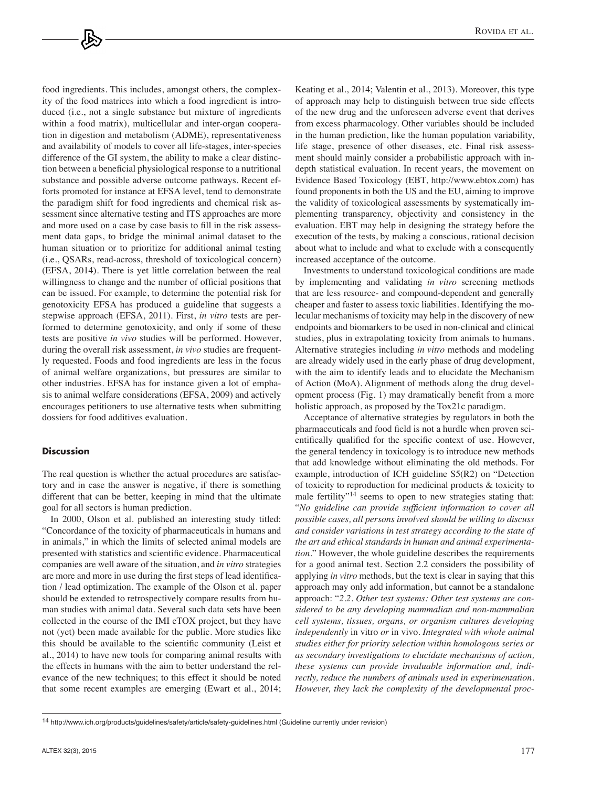food ingredients. This includes, amongst others, the complexity of the food matrices into which a food ingredient is introduced (i.e., not a single substance but mixture of ingredients within a food matrix), multicellular and inter-organ cooperation in digestion and metabolism (ADME), representativeness and availability of models to cover all life-stages, inter-species difference of the GI system, the ability to make a clear distinction between a beneficial physiological response to a nutritional substance and possible adverse outcome pathways. Recent efforts promoted for instance at EFSA level, tend to demonstrate the paradigm shift for food ingredients and chemical risk assessment since alternative testing and ITS approaches are more and more used on a case by case basis to fill in the risk assessment data gaps, to bridge the minimal animal dataset to the human situation or to prioritize for additional animal testing (i.e., QSARs, read-across, threshold of toxicological concern) (EFSA, 2014). There is yet little correlation between the real willingness to change and the number of official positions that can be issued. For example, to determine the potential risk for genotoxicity EFSA has produced a guideline that suggests a stepwise approach (EFSA, 2011). First, *in vitro* tests are performed to determine genotoxicity, and only if some of these tests are positive *in vivo* studies will be performed. However, during the overall risk assessment, *in vivo* studies are frequently requested. Foods and food ingredients are less in the focus of animal welfare organizations, but pressures are similar to other industries. EFSA has for instance given a lot of emphasis to animal welfare considerations (EFSA, 2009) and actively encourages petitioners to use alternative tests when submitting dossiers for food additives evaluation.

### **Discussion**

The real question is whether the actual procedures are satisfactory and in case the answer is negative, if there is something different that can be better, keeping in mind that the ultimate goal for all sectors is human prediction.

In 2000, Olson et al. published an interesting study titled: "Concordance of the toxicity of pharmaceuticals in humans and in animals," in which the limits of selected animal models are presented with statistics and scientific evidence. Pharmaceutical companies are well aware of the situation, and *in vitro* strategies are more and more in use during the first steps of lead identification / lead optimization. The example of the Olson et al. paper should be extended to retrospectively compare results from human studies with animal data. Several such data sets have been collected in the course of the IMI eTOX project, but they have not (yet) been made available for the public. More studies like this should be available to the scientific community (Leist et al., 2014) to have new tools for comparing animal results with the effects in humans with the aim to better understand the relevance of the new techniques; to this effect it should be noted that some recent examples are emerging (Ewart et al., 2014; Keating et al., 2014; Valentin et al., 2013). Moreover, this type of approach may help to distinguish between true side effects of the new drug and the unforeseen adverse event that derives from excess pharmacology. Other variables should be included in the human prediction, like the human population variability, life stage, presence of other diseases, etc. Final risk assessment should mainly consider a probabilistic approach with indepth statistical evaluation. In recent years, the movement on Evidence Based Toxicology (EBT, [http://www.ebtox.com\)](http://www.ebtox.com) has found proponents in both the US and the EU, aiming to improve the validity of toxicological assessments by systematically implementing transparency, objectivity and consistency in the evaluation. EBT may help in designing the strategy before the execution of the tests, by making a conscious, rational decision about what to include and what to exclude with a consequently increased acceptance of the outcome.

Investments to understand toxicological conditions are made by implementing and validating *in vitro* screening methods that are less resource- and compound-dependent and generally cheaper and faster to assess toxic liabilities. Identifying the molecular mechanisms of toxicity may help in the discovery of new endpoints and biomarkers to be used in non-clinical and clinical studies, plus in extrapolating toxicity from animals to humans. Alternative strategies including *in vitro* methods and modeling are already widely used in the early phase of drug development, with the aim to identify leads and to elucidate the Mechanism of Action (MoA). Alignment of methods along the drug development process (Fig. 1) may dramatically benefit from a more holistic approach, as proposed by the Tox21c paradigm.

Acceptance of alternative strategies by regulators in both the pharmaceuticals and food field is not a hurdle when proven scientifically qualified for the specific context of use. However, the general tendency in toxicology is to introduce new methods that add knowledge without eliminating the old methods. For example, introduction of ICH guideline S5(R2) on "Detection of toxicity to reproduction for medicinal products & toxicity to male fertility" $14$  seems to open to new strategies stating that: "*No guideline can provide sufficient information to cover all possible cases, all persons involved should be willing to discuss and consider variations in test strategy according to the state of the art and ethical standards in human and animal experimentation*." However, the whole guideline describes the requirements for a good animal test. Section 2.2 considers the possibility of applying *in vitro* methods, but the text is clear in saying that this approach may only add information, but cannot be a standalone approach: "*2.2. Other test systems: Other test systems are considered to be any developing mammalian and non-mammalian cell systems, tissues, organs, or organism cultures developing independently* in vitro *or* in vivo*. Integrated with whole animal studies either for priority selection within homologous series or as secondary investigations to elucidate mechanisms of action, these systems can provide invaluable information and, indirectly, reduce the numbers of animals used in experimentation. However, they lack the complexity of the developmental proc-*

<sup>14</sup> [http://www.ich.org/products/guidelines/safety/article/safety-guidelines.html \(G](http://www.ich.org/products/guidelines/safety/article/safety-guidelines.html)uideline currently under revision)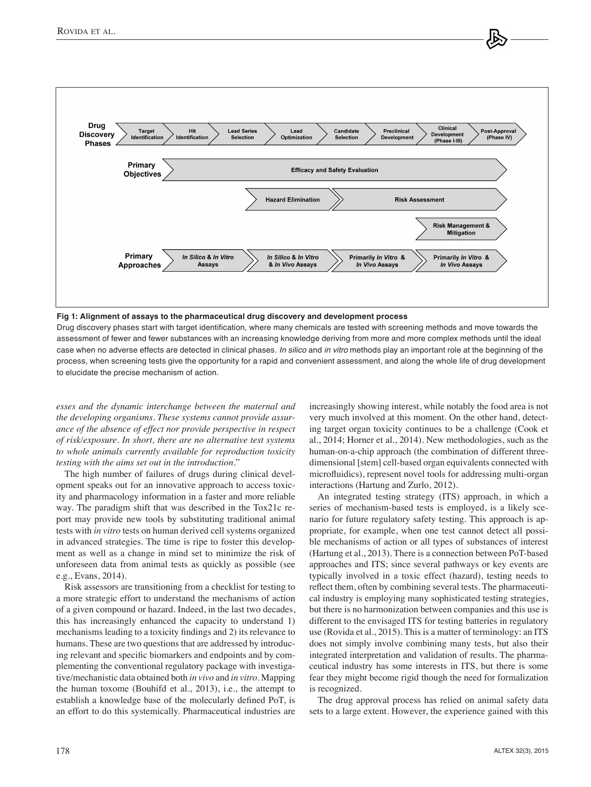

#### **Fig 1: Alignment of assays to the pharmaceutical drug discovery and development process**

Drug discovery phases start with target identification, where many chemicals are tested with screening methods and move towards the assessment of fewer and fewer substances with an increasing knowledge deriving from more and more complex methods until the ideal case when no adverse effects are detected in clinical phases. *In silico* and *in vitro* methods play an important role at the beginning of the process, when screening tests give the opportunity for a rapid and convenient assessment, and along the whole life of drug development to elucidate the precise mechanism of action.

*esses and the dynamic interchange between the maternal and the developing organisms. These systems cannot provide assurance of the absence of effect nor provide perspective in respect of risk/exposure. In short, there are no alternative test systems to whole animals currently available for reproduction toxicity testing with the aims set out in the introduction*."

The high number of failures of drugs during clinical development speaks out for an innovative approach to access toxicity and pharmacology information in a faster and more reliable way. The paradigm shift that was described in the Tox21c report may provide new tools by substituting traditional animal tests with *in vitro* tests on human derived cell systems organized in advanced strategies. The time is ripe to foster this development as well as a change in mind set to minimize the risk of unforeseen data from animal tests as quickly as possible (see e.g., Evans, 2014).

Risk assessors are transitioning from a checklist for testing to a more strategic effort to understand the mechanisms of action of a given compound or hazard. Indeed, in the last two decades, this has increasingly enhanced the capacity to understand 1) mechanisms leading to a toxicity findings and 2) its relevance to humans. These are two questions that are addressed by introducing relevant and specific biomarkers and endpoints and by complementing the conventional regulatory package with investigative/mechanistic data obtained both *in vivo* and *in vitro*. Mapping the human toxome (Bouhifd et al., 2013), i.e., the attempt to establish a knowledge base of the molecularly defined PoT, is an effort to do this systemically. Pharmaceutical industries are increasingly showing interest, while notably the food area is not very much involved at this moment. On the other hand, detecting target organ toxicity continues to be a challenge (Cook et al., 2014; Horner et al., 2014). New methodologies, such as the human-on-a-chip approach (the combination of different threedimensional [stem] cell-based organ equivalents connected with microfluidics), represent novel tools for addressing multi-organ interactions (Hartung and Zurlo, 2012).

An integrated testing strategy (ITS) approach, in which a series of mechanism-based tests is employed, is a likely scenario for future regulatory safety testing. This approach is appropriate, for example, when one test cannot detect all possible mechanisms of action or all types of substances of interest (Hartung et al., 2013). There is a connection between PoT-based approaches and ITS; since several pathways or key events are typically involved in a toxic effect (hazard), testing needs to reflect them, often by combining several tests. The pharmaceutical industry is employing many sophisticated testing strategies, but there is no harmonization between companies and this use is different to the envisaged ITS for testing batteries in regulatory use (Rovida et al., 2015). This is a matter of terminology: an ITS does not simply involve combining many tests, but also their integrated interpretation and validation of results. The pharmaceutical industry has some interests in ITS, but there is some fear they might become rigid though the need for formalization is recognized.

The drug approval process has relied on animal safety data sets to a large extent. However, the experience gained with this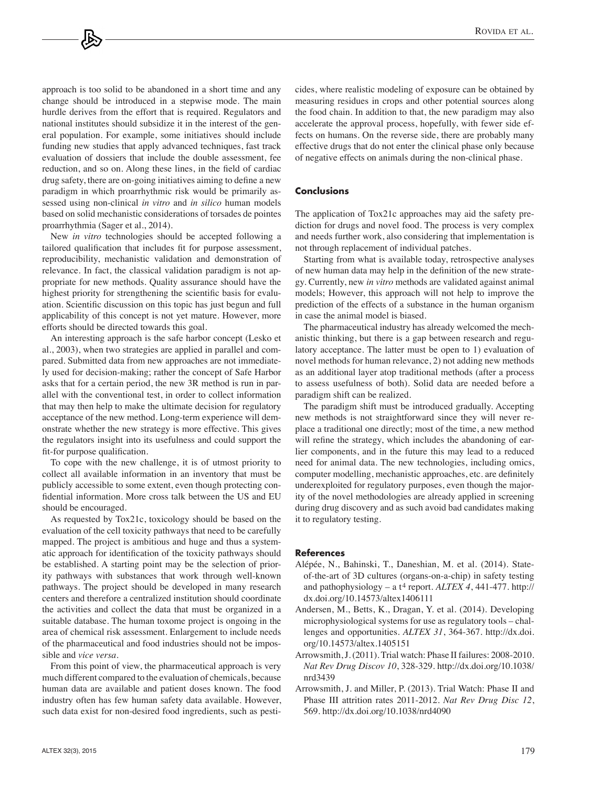approach is too solid to be abandoned in a short time and any change should be introduced in a stepwise mode. The main hurdle derives from the effort that is required. Regulators and national institutes should subsidize it in the interest of the general population. For example, some initiatives should include funding new studies that apply advanced techniques, fast track evaluation of dossiers that include the double assessment, fee reduction, and so on. Along these lines, in the field of cardiac drug safety, there are on-going initiatives aiming to define a new paradigm in which proarrhythmic risk would be primarily assessed using non-clinical *in vitro* and *in silico* human models based on solid mechanistic considerations of torsades de pointes proarrhythmia (Sager et al., 2014).

New *in vitro* technologies should be accepted following a tailored qualification that includes fit for purpose assessment, reproducibility, mechanistic validation and demonstration of relevance. In fact, the classical validation paradigm is not appropriate for new methods. Quality assurance should have the highest priority for strengthening the scientific basis for evaluation. Scientific discussion on this topic has just begun and full applicability of this concept is not yet mature. However, more efforts should be directed towards this goal.

An interesting approach is the safe harbor concept (Lesko et al., 2003), when two strategies are applied in parallel and compared. Submitted data from new approaches are not immediately used for decision-making; rather the concept of Safe Harbor asks that for a certain period, the new 3R method is run in parallel with the conventional test, in order to collect information that may then help to make the ultimate decision for regulatory acceptance of the new method. Long-term experience will demonstrate whether the new strategy is more effective. This gives the regulators insight into its usefulness and could support the fit-for purpose qualification.

To cope with the new challenge, it is of utmost priority to collect all available information in an inventory that must be publicly accessible to some extent, even though protecting confidential information. More cross talk between the US and EU should be encouraged.

As requested by Tox21c, toxicology should be based on the evaluation of the cell toxicity pathways that need to be carefully mapped. The project is ambitious and huge and thus a systematic approach for identification of the toxicity pathways should be established. A starting point may be the selection of priority pathways with substances that work through well-known pathways. The project should be developed in many research centers and therefore a centralized institution should coordinate the activities and collect the data that must be organized in a suitable database. The human toxome project is ongoing in the area of chemical risk assessment. Enlargement to include needs of the pharmaceutical and food industries should not be impossible and *vice versa*.

From this point of view, the pharmaceutical approach is very much different compared to the evaluation of chemicals, because human data are available and patient doses known. The food industry often has few human safety data available. However, such data exist for non-desired food ingredients, such as pesticides, where realistic modeling of exposure can be obtained by measuring residues in crops and other potential sources along the food chain. In addition to that, the new paradigm may also accelerate the approval process, hopefully, with fewer side effects on humans. On the reverse side, there are probably many effective drugs that do not enter the clinical phase only because of negative effects on animals during the non-clinical phase.

#### **Conclusions**

The application of Tox21c approaches may aid the safety prediction for drugs and novel food. The process is very complex and needs further work, also considering that implementation is not through replacement of individual patches.

Starting from what is available today, retrospective analyses of new human data may help in the definition of the new strategy. Currently, new *in vitro* methods are validated against animal models; However, this approach will not help to improve the prediction of the effects of a substance in the human organism in case the animal model is biased.

The pharmaceutical industry has already welcomed the mechanistic thinking, but there is a gap between research and regulatory acceptance. The latter must be open to 1) evaluation of novel methods for human relevance, 2) not adding new methods as an additional layer atop traditional methods (after a process to assess usefulness of both). Solid data are needed before a paradigm shift can be realized.

The paradigm shift must be introduced gradually. Accepting new methods is not straightforward since they will never replace a traditional one directly; most of the time, a new method will refine the strategy, which includes the abandoning of earlier components, and in the future this may lead to a reduced need for animal data. The new technologies, including omics, computer modelling, mechanistic approaches, etc. are definitely underexploited for regulatory purposes, even though the majority of the novel methodologies are already applied in screening during drug discovery and as such avoid bad candidates making it to regulatory testing.

#### **References**

- Alépée, N., Bahinski, T., Daneshian, M. et al. (2014). Stateof-the-art of 3D cultures (organs-on-a-chip) in safety testing and pathophysiology – a t4 report. *ALTEX 4*, 441-477. [http://](http://dx.doi.org/10.14573/altex1406111) [dx.doi.org/10.14573/altex1406111](http://dx.doi.org/10.14573/altex1406111)
- Andersen, M., Betts, K., Dragan, Y. et al. (2014). Developing microphysiological systems for use as regulatory tools – challenges and opportunities. *ALTEX 31*, 364-367. [http://dx.doi.](http://dx.doi.org/10.14573/altex.1405151) [org/10.14573/altex.1405151](http://dx.doi.org/10.14573/altex.1405151)
- Arrowsmith, J. (2011). Trial watch: Phase II failures: 2008-2010. *Nat Rev Drug Discov 10*, 328-329. [http://dx.doi.org/10.1038/](http://dx.doi.org/10.1038/nrd3439) [nrd3439](http://dx.doi.org/10.1038/nrd3439)
- Arrowsmith, J. and Miller, P. (2013). Trial Watch: Phase II and Phase III attrition rates 2011-2012. *Nat Rev Drug Disc 12*, 569.<http://dx.doi.org/10.1038/nrd4090>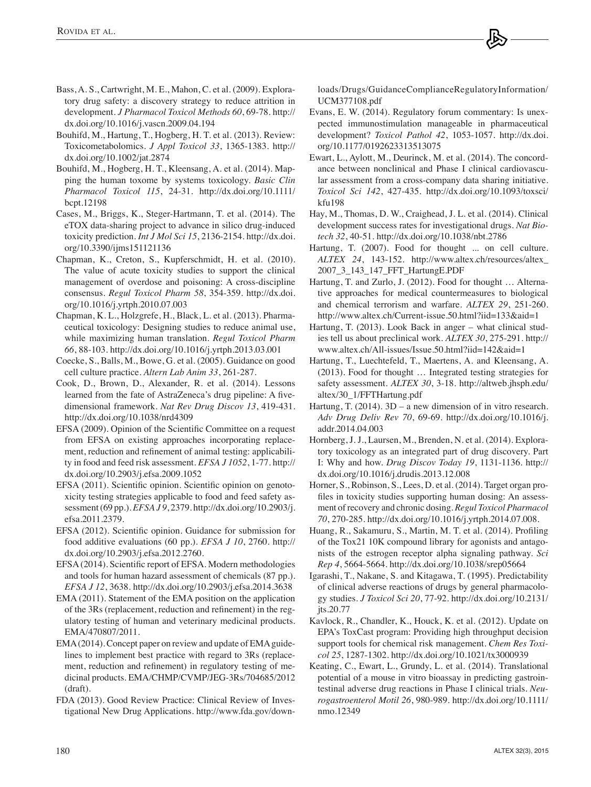- Bass, A. S., Cartwright, M. E., Mahon, C. et al. (2009). Exploratory drug safety: a discovery strategy to reduce attrition in development. *J Pharmacol Toxicol Methods 60*, 69-78. [http://](http://dx.doi.org/10.1016/j.vascn.2009.04.194) [dx.doi.org/10.1016/j.vascn.2009.04.194](http://dx.doi.org/10.1016/j.vascn.2009.04.194)
- Bouhifd, M., Hartung, T., Hogberg, H. T. et al. (2013). Review: Toxicometabolomics. *J Appl Toxicol 33*, 1365-1383. [http://](http://dx.doi.org/10.1002/jat.2874) [dx.doi.org/10.1002/jat.2874](http://dx.doi.org/10.1002/jat.2874)
- Bouhifd, M., Hogberg, H. T., Kleensang, A. et al. (2014). Mapping the human toxome by systems toxicology. *Basic Clin Pharmacol Toxicol 115*, 24-31. [http://dx.doi.org/10.1111/](http://dx.doi.org/10.1111/bcpt.12198) [bcpt.12198](http://dx.doi.org/10.1111/bcpt.12198)
- Cases, M., Briggs, K., Steger-Hartmann, T. et al. (2014). The eTOX data-sharing project to advance in silico drug-induced toxicity prediction. *Int J Mol Sci 15*, 2136-2154. [http://dx.doi.](http://dx.doi.org/10.3390/ijms151121136) [org/10.3390/ijms151121136](http://dx.doi.org/10.3390/ijms151121136)
- Chapman, K., Creton, S., Kupferschmidt, H. et al. (2010). The value of acute toxicity studies to support the clinical management of overdose and poisoning: A cross-discipline consensus. *Regul Toxicol Pharm 58*, 354-359. [http://dx.doi.](http://dx.doi.org/10.1016/j.yrtph.2010.07.003) [org/10.1016/j.yrtph.2010.07.003](http://dx.doi.org/10.1016/j.yrtph.2010.07.003)
- Chapman, K. L., Holzgrefe, H., Black, L. et al. (2013). Pharmaceutical toxicology: Designing studies to reduce animal use, while maximizing human translation. *Regul Toxicol Pharm 66*, 88-103.<http://dx.doi.org/10.1016/j.yrtph.2013.03.001>
- Coecke, S., Balls, M., Bowe, G. et al. (2005). Guidance on good cell culture practice. *Altern Lab Anim 33*, 261-287.
- Cook, D., Brown, D., Alexander, R. et al. (2014). Lessons learned from the fate of AstraZeneca's drug pipeline: A fivedimensional framework. *Nat Rev Drug Discov 13*, 419-431. <http://dx.doi.org/10.1038/nrd4309>
- EFSA (2009). Opinion of the Scientific Committee on a request from EFSA on existing approaches incorporating replacement, reduction and refinement of animal testing: applicability in food and feed risk assessment. *EFSA J 1052*, 1-77. [http://](http://dx.doi.org/10.2903/j.efsa.2009.1052) [dx.doi.org/10.2903/j.efsa.2009.1052](http://dx.doi.org/10.2903/j.efsa.2009.1052)
- EFSA (2011). Scientific opinion. Scientific opinion on genotoxicity testing strategies applicable to food and feed safety assessment (69 pp.). *EFSA J 9*, 2379. [http://dx.doi.org/10.2903/j.](http://dx.doi.org/10.2903/j.efsa.2011.2379) [efsa.2011.2379.](http://dx.doi.org/10.2903/j.efsa.2011.2379)
- EFSA (2012). Scientific opinion. Guidance for submission for food additive evaluations (60 pp.). *EFSA J 10*, 2760. [http://](http://dx.doi.org/10.2903/j.efsa.2012.2760) [dx.doi.org/10.2903/j.efsa.2012.2760.](http://dx.doi.org/10.2903/j.efsa.2012.2760)
- EFSA (2014). Scientific report of EFSA. Modern methodologies and tools for human hazard assessment of chemicals (87 pp.). *EFSA J 12*, 3638.<http://dx.doi.org/10.2903/j.efsa.2014.3638>
- EMA (2011). Statement of the EMA position on the application of the 3Rs (replacement, reduction and refinement) in the regulatory testing of human and veterinary medicinal products. EMA/470807/2011.
- EMA (2014). Concept paper on review and update of EMA guidelines to implement best practice with regard to 3Rs (replacement, reduction and refinement) in regulatory testing of medicinal products. EMA/CHMP/CVMP/JEG-3Rs/704685/2012 (draft).
- FDA (2013). Good Review Practice: Clinical Review of Investigational New Drug Applications[. http://www.fda.gov/down-](http://www.fda.gov/downloads/Drugs/GuidanceComplianceRegulatoryInformation/UCM377108.pdf)

[loads/Drugs/GuidanceComplianceRegulatoryInformation/](http://www.fda.gov/downloads/Drugs/GuidanceComplianceRegulatoryInformation/UCM377108.pdf) UCM377108.pdf

- Evans, E. W. (2014). Regulatory forum commentary: Is unexpected immunostimulation manageable in pharmaceutical development? *Toxicol Pathol 42*, 1053-1057. [http://dx.doi.](http://dx.doi.org/10.1177/0192623313513075) [org/10.1177/0192623313513075](http://dx.doi.org/10.1177/0192623313513075)
- Ewart, L., Aylott, M., Deurinck, M. et al. (2014). The concordance between nonclinical and Phase I clinical cardiovascular assessment from a cross-company data sharing initiative. *Toxicol Sci 142*, 427-435. [http://dx.doi.org/10.1093/toxsci/](http://dx.doi.org/10.1093/toxsci/kfu198) [kfu198](http://dx.doi.org/10.1093/toxsci/kfu198)
- Hay, M., Thomas, D. W., Craighead, J. L. et al. (2014). Clinical development success rates for investigational drugs. *Nat Biotech 32*, 40-51. <http://dx.doi.org/10.1038/nbt.2786>
- Hartung, T. (2007). Food for thought ... on cell culture. *ALTEX 24*[, 143-152. http://www.altex.ch/resources/altex\\_](http://www.altex.ch/resources/altex_2007_3_143_147_FFT_HartungE.PDF)  2007\_3\_143\_147\_FFT\_HartungE.PDF
- Hartung, T. and Zurlo, J. (2012). Food for thought … Alternative approaches for medical countermeasures to biological and chemical terrorism and warfare. *ALTEX 29*, 251-260. <http://www.altex.ch/Current-issue.50.html?iid=133&aid=1>
- Hartung, T. (2013). Look Back in anger what clinical studies tell us about preclinical work. *ALTEX 30*, 275-291. [http://](http://www.altex.ch/All-issues/Issue.50.html?iid=142&aid=1) [www.altex.ch/All-issues/Issue.50.html?iid=142&aid=1](http://www.altex.ch/All-issues/Issue.50.html?iid=142&aid=1)
- Hartung, T., Luechtefeld, T., Maertens, A. and Kleensang, A. (2013). Food for thought … Integrated testing strategies for safety assessment. *ALTEX 30*, 3-18. [http://altweb.jhsph.edu/](http://altweb.jhsph.edu/altex/30_1/FFTHartung.pdf) [altex/30\\_1/FFTHartung.pdf](http://altweb.jhsph.edu/altex/30_1/FFTHartung.pdf)
- Hartung, T. (2014). 3D a new dimension of in vitro research. *Adv Drug Deliv Rev 70*, 69-69. [http://dx.doi.org/10.1016/j.](http://dx.doi.org/10.1016/j.addr.2014.04.003) [addr.2014.04.003](http://dx.doi.org/10.1016/j.addr.2014.04.003)
- Hornberg, J. J., Laursen, M., Brenden, N. et al. (2014). Exploratory toxicology as an integrated part of drug discovery. Part I: Why and how. *Drug Discov Today 19*, 1131-1136. [http://](http://dx.doi.org/10.1016/j.drudis.2013.12.008) [dx.doi.org/10.1016/j.drudis.2013.12.008](http://dx.doi.org/10.1016/j.drudis.2013.12.008)
- Horner, S., Robinson, S., Lees, D. et al. (2014). Target organ profiles in toxicity studies supporting human dosing: An assessment of recovery and chronic dosing. *Regul Toxicol Pharmacol 70*, 270-285. [http://dx.doi.org/10.1016/j.yrtph.2014.07.008.](http://dx.doi.org/10.1016/j.yrtph.2014.07.008)
- Huang, R., Sakamuru, S., Martin, M. T. et al. (2014). Profiling of the Tox21 10K compound library for agonists and antagonists of the estrogen receptor alpha signaling pathway. *Sci Rep 4*, 5664-5664. <http://dx.doi.org/10.1038/srep05664>
- Igarashi, T., Nakane, S. and Kitagawa, T. (1995). Predictability of clinical adverse reactions of drugs by general pharmacology studies. *J Toxicol Sci 20*, 77-92. [http://dx.doi.org/10.2131/](http://dx.doi.org/10.2131/jts.20.77) [jts.20.77](http://dx.doi.org/10.2131/jts.20.77)
- Kavlock, R., Chandler, K., Houck, K. et al. (2012). Update on EPA's ToxCast program: Providing high throughput decision support tools for chemical risk management. *Chem Res Toxicol 25*, 1287-1302.<http://dx.doi.org/10.1021/tx3000939>
- Keating, C., Ewart, L., Grundy, L. et al. (2014). Translational potential of a mouse in vitro bioassay in predicting gastrointestinal adverse drug reactions in Phase I clinical trials. *Neurogastroenterol Motil 26*, 980-989. [http://dx.doi.org/10.1111/](http://dx.doi.org/10.1111/nmo.12349) [nmo.12349](http://dx.doi.org/10.1111/nmo.12349)